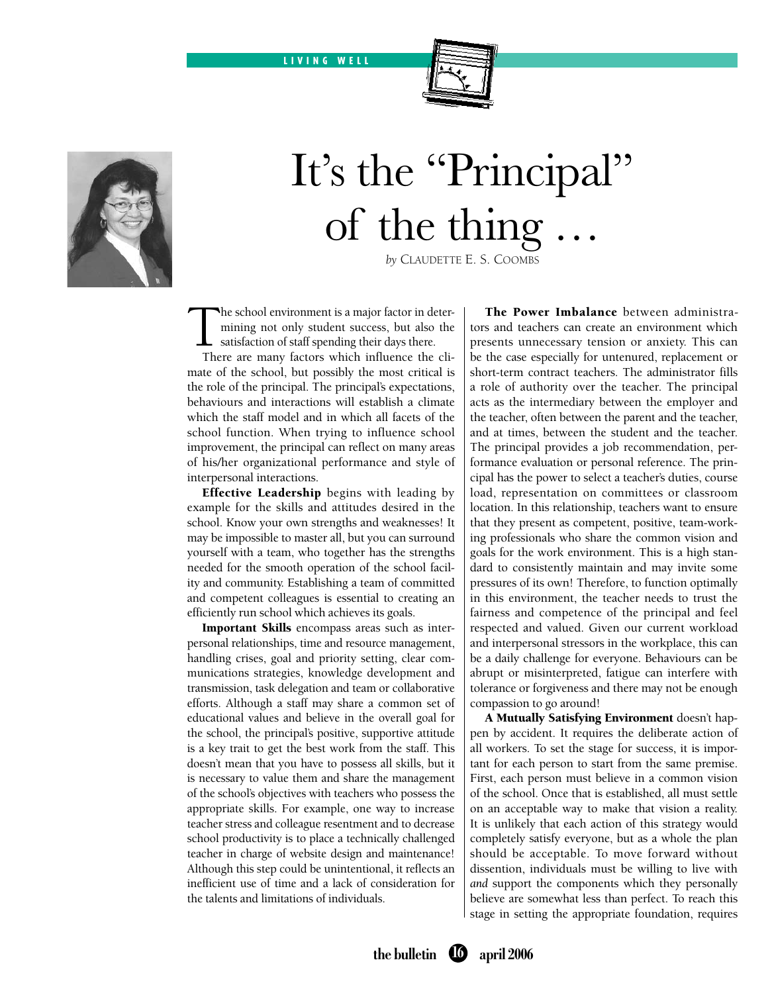LIVING WELL



## It's the "Principal" of the thing

*by* Claudette E. S. Coombs

The school environment is a major factor in deter-<br>mining not only student success, but also the<br>satisfaction of staff spending their days there.<br>There are many factors which influence the climining not only student success, but also the satisfaction of staff spending their days there.

There are many factors which influence the climate of the school, but possibly the most critical is the role of the principal. The principal's expectations, behaviours and interactions will establish a climate which the staff model and in which all facets of the school function. When trying to influence school improvement, the principal can reflect on many areas of his/her organizational performance and style of interpersonal interactions.

**Effective Leadership** begins with leading by example for the skills and attitudes desired in the school. Know your own strengths and weaknesses! It may be impossible to master all, but you can surround yourself with a team, who together has the strengths needed for the smooth operation of the school facility and community. Establishing a team of committed and competent colleagues is essential to creating an efficiently run school which achieves its goals.

Important Skills encompass areas such as interpersonal relationships, time and resource management, handling crises, goal and priority setting, clear communications strategies, knowledge development and transmission, task delegation and team or collaborative efforts. Although a staff may share a common set of educational values and believe in the overall goal for the school, the principal's positive, supportive attitude is a key trait to get the best work from the staff. This doesn't mean that you have to possess all skills, but it is necessary to value them and share the management of the school's objectives with teachers who possess the appropriate skills. For example, one way to increase teacher stress and colleague resentment and to decrease school productivity is to place a technically challenged teacher in charge of website design and maintenance! Although this step could be unintentional, it reflects an inefficient use of time and a lack of consideration for the talents and limitations of individuals.

The Power Imbalance between administrators and teachers can create an environment which presents unnecessary tension or anxiety. This can be the case especially for untenured, replacement or short-term contract teachers. The administrator fills a role of authority over the teacher. The principal acts as the intermediary between the employer and the teacher, often between the parent and the teacher, and at times, between the student and the teacher. The principal provides a job recommendation, performance evaluation or personal reference. The principal has the power to select a teacher's duties, course load, representation on committees or classroom location. In this relationship, teachers want to ensure that they present as competent, positive, team-working professionals who share the common vision and goals for the work environment. This is a high standard to consistently maintain and may invite some pressures of its own! Therefore, to function optimally in this environment, the teacher needs to trust the fairness and competence of the principal and feel respected and valued. Given our current workload and interpersonal stressors in the workplace, this can be a daily challenge for everyone. Behaviours can be abrupt or misinterpreted, fatigue can interfere with tolerance or forgiveness and there may not be enough compassion to go around!

A Mutually Satisfying Environment doesn't happen by accident. It requires the deliberate action of all workers. To set the stage for success, it is important for each person to start from the same premise. First, each person must believe in a common vision of the school. Once that is established, all must settle on an acceptable way to make that vision a reality. It is unlikely that each action of this strategy would completely satisfy everyone, but as a whole the plan should be acceptable. To move forward without dissention, individuals must be willing to live with *and* support the components which they personally believe are somewhat less than perfect. To reach this stage in setting the appropriate foundation, requires